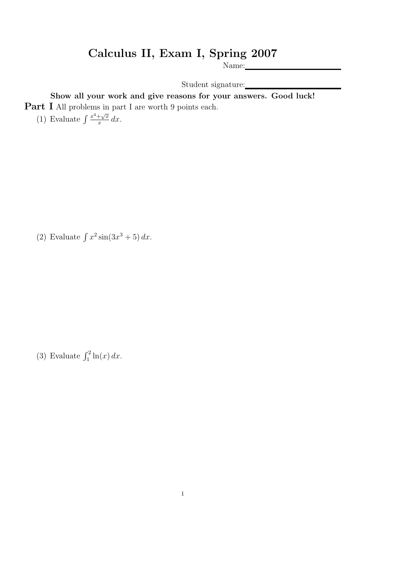## Calculus II, Exam I, Spring 2007

Name:

Student signature:

Show all your work and give reasons for your answers. Good luck! Part I All problems in part I are worth 9 points each.

(1) Evaluate  $\int \frac{x^4 + \sqrt{x}}{x}$  $rac{+\sqrt{x}}{x} dx$ .

(2) Evaluate  $\int x^2 \sin(3x^3 + 5) dx$ .

(3) Evaluate  $\int_1^2 \ln(x) dx$ .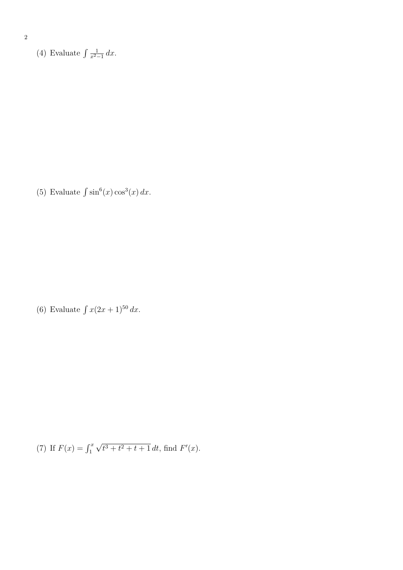2

(4) Evaluate  $\int \frac{1}{r^2}$  $rac{1}{x^2-1} dx$ .

(5) Evaluate  $\int \sin^6(x) \cos^3(x) dx$ .

(6) Evaluate  $\int x(2x+1)^{50} dx$ .

(7) If 
$$
F(x) = \int_1^x \sqrt{t^3 + t^2 + t + 1} dt
$$
, find  $F'(x)$ .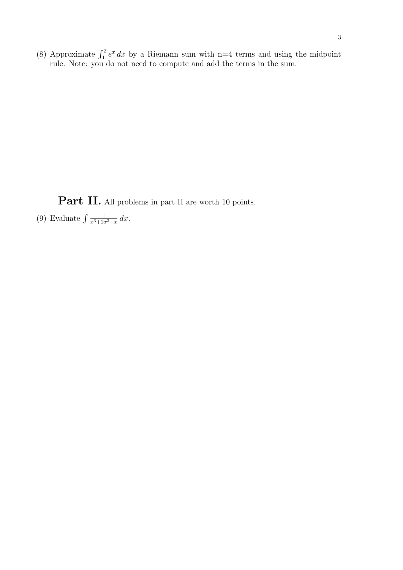(8) Approximate  $\int_1^2 e^x dx$  by a Riemann sum with n=4 terms and using the midpoint rule. Note: you do not need to compute and add the terms in the sum.

Part II. All problems in part II are worth 10 points.

(9) Evaluate  $\int \frac{1}{r^{3}+2r^{2}}$  $\frac{1}{x^3+2x^2+x} dx$ .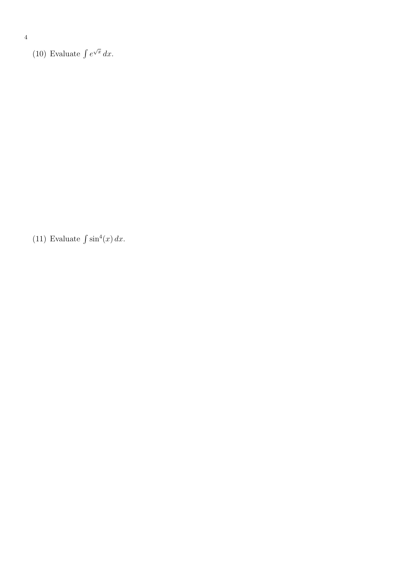(10) Evaluate  $\int e^{\sqrt{x}} dx$ .

(11) Evaluate  $\int \sin^4(x) dx$ .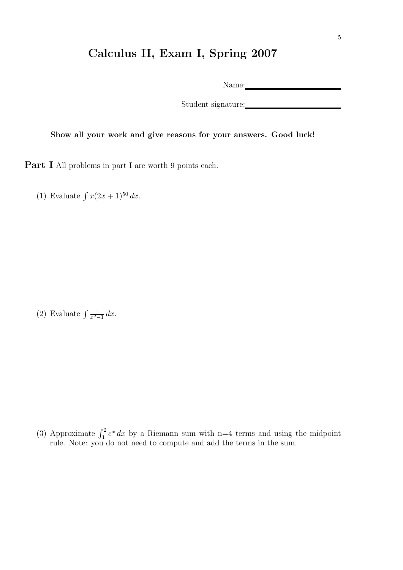## Calculus II, Exam I, Spring 2007

Name: Name and Solid Research and Solid Research and Solid Research and Solid Research and Solid Research and Solid Research and Solid Research and Solid Research and Solid Research and Solid Research and Solid Research an

Student signature:

Show all your work and give reasons for your answers. Good luck!

Part I All problems in part I are worth 9 points each.

(1) Evaluate  $\int x(2x+1)^{50} dx$ .

(2) Evaluate  $\int \frac{1}{r^2}$  $rac{1}{x^2-1} dx$ .

(3) Approximate  $\int_1^2 e^x dx$  by a Riemann sum with n=4 terms and using the midpoint rule. Note: you do not need to compute and add the terms in the sum.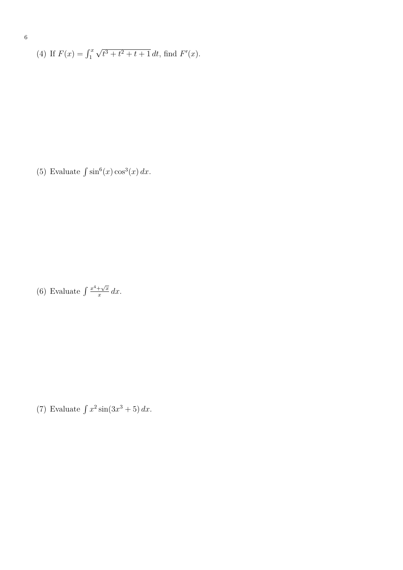(4) If 
$$
F(x) = \int_1^x \sqrt{t^3 + t^2 + t + 1} dt
$$
, find  $F'(x)$ .

(5) Evaluate  $\int \sin^6(x) \cos^3(x) dx$ .

(6) Evaluate  $\int \frac{x^4 + \sqrt{x}}{x}$  $rac{+\sqrt{x}}{x} dx$ .

(7) Evaluate  $\int x^2 \sin(3x^3 + 5) dx$ .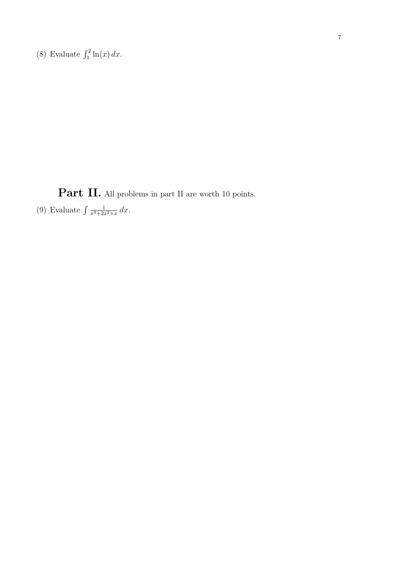(8) Evaluate  $\int_1^2 \ln(x) dx$ .

Part II. All problems in part II are worth 10 points.

(9) Evaluate  $\int \frac{1}{r^{3}+2r^{2}}$  $\frac{1}{x^3+2x^2+x} dx$ .